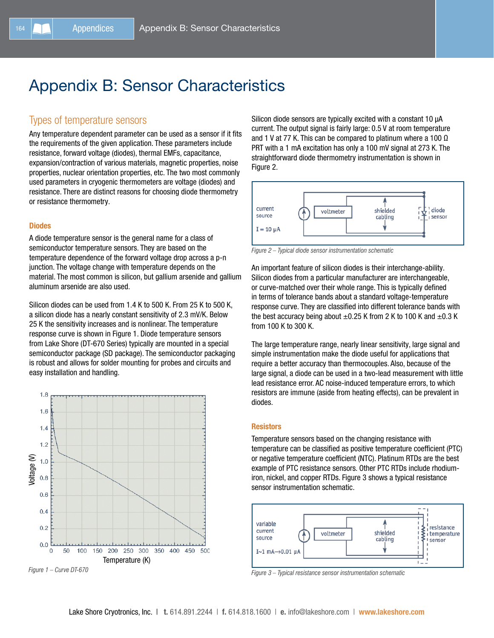# Appendix B: Sensor Characteristics

# Types of temperature sensors

Any temperature dependent parameter can be used as a sensor if it fits the requirements of the given application. These parameters include resistance, forward voltage (diodes), thermal EMFs, capacitance, expansion/contraction of various materials, magnetic properties, noise properties, nuclear orientation properties, etc. The two most commonly used parameters in cryogenic thermometers are voltage (diodes) and resistance. There are distinct reasons for choosing diode thermometry or resistance thermometry.

## **Diodes**

A diode temperature sensor is the general name for a class of semiconductor temperature sensors. They are based on the temperature dependence of the forward voltage drop across a p-n junction. The voltage change with temperature depends on the material. The most common is silicon, but gallium arsenide and gallium aluminum arsenide are also used.

Silicon diodes can be used from 1.4 K to 500 K. From 25 K to 500 K, a silicon diode has a nearly constant sensitivity of 2.3 mV/K. Below 25 K the sensitivity increases and is nonlinear. The temperature response curve is shown in Figure 1. Diode temperature sensors from Lake Shore (DT-670 Series) typically are mounted in a special semiconductor package (SD package). The semiconductor packaging is robust and allows for solder mounting for probes and circuits and easy installation and handling.



*Figure 1 – Curve DT-670*

Silicon diode sensors are typically excited with a constant 10 µA current. The output signal is fairly large: 0.5 V at room temperature and 1 V at 77 K. This can be compared to platinum where a 100  $\Omega$ PRT with a 1 mA excitation has only a 100 mV signal at 273 K. The straightforward diode thermometry instrumentation is shown in Figure 2.



*Figure 2 – Typical diode sensor instrumentation schematic*

An important feature of silicon diodes is their interchange-ability. Silicon diodes from a particular manufacturer are interchangeable, or curve-matched over their whole range. This is typically defined in terms of tolerance bands about a standard voltage-temperature response curve. They are classified into different tolerance bands with the best accuracy being about  $\pm 0.25$  K from 2 K to 100 K and  $\pm 0.3$  K from 100 K to 300 K.

The large temperature range, nearly linear sensitivity, large signal and simple instrumentation make the diode useful for applications that require a better accuracy than thermocouples. Also, because of the large signal, a diode can be used in a two-lead measurement with little lead resistance error. AC noise-induced temperature errors, to which resistors are immune (aside from heating effects), can be prevalent in diodes.

#### **Resistors**

Temperature sensors based on the changing resistance with temperature can be classified as positive temperature coefficient (PTC) or negative temperature coefficient (NTC). Platinum RTDs are the best example of PTC resistance sensors. Other PTC RTDs include rhodiumiron, nickel, and copper RTDs. Figure 3 shows a typical resistance sensor instrumentation schematic.



*Figure 3 – Typical resistance sensor instrumentation schematic*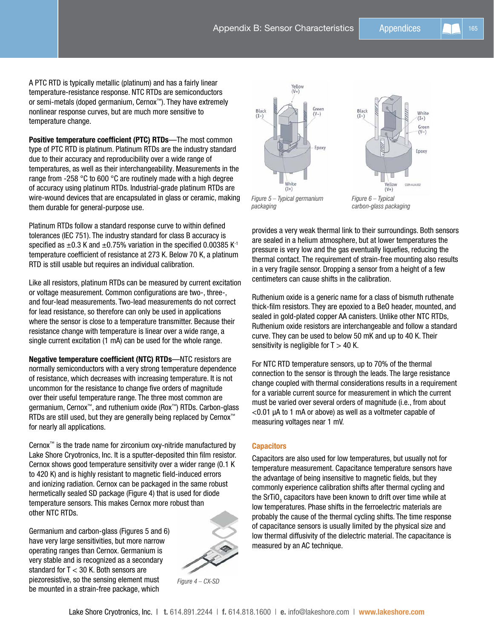A PTC RTD is typically metallic (platinum) and has a fairly linear temperature-resistance response. NTC RTDs are semiconductors or semi-metals (doped germanium, Cernox™). They have extremely nonlinear response curves, but are much more sensitive to temperature change.

Positive temperature coefficient (PTC) RTDs—The most common type of PTC RTD is platinum. Platinum RTDs are the industry standard due to their accuracy and reproducibility over a wide range of temperatures, as well as their interchangeability. Measurements in the range from -258 °C to 600 °C are routinely made with a high degree of accuracy using platinum RTDs. Industrial-grade platinum RTDs are wire-wound devices that are encapsulated in glass or ceramic, making them durable for general-purpose use.

Platinum RTDs follow a standard response curve to within defined tolerances (IEC 751). The industry standard for class B accuracy is specified as  $\pm 0.3$  K and  $\pm 0.75$ % variation in the specified 0.00385 K<sup>-1</sup> temperature coefficient of resistance at 273 K. Below 70 K, a platinum RTD is still usable but requires an individual calibration.

Like all resistors, platinum RTDs can be measured by current excitation or voltage measurement. Common configurations are two-, three-, and four-lead measurements. Two-lead measurements do not correct for lead resistance, so therefore can only be used in applications where the sensor is close to a temperature transmitter. Because their resistance change with temperature is linear over a wide range, a single current excitation (1 mA) can be used for the whole range.

Negative temperature coefficient (NTC) RTDs—NTC resistors are normally semiconductors with a very strong temperature dependence of resistance, which decreases with increasing temperature. It is not uncommon for the resistance to change five orders of magnitude over their useful temperature range. The three most common are germanium, Cernox™, and ruthenium oxide (Rox™) RTDs. Carbon-glass RTDs are still used, but they are generally being replaced by Cernox™ for nearly all applications.

Cernox™ is the trade name for zirconium oxy-nitride manufactured by Lake Shore Cryotronics, Inc. It is a sputter-deposited thin film resistor. Cernox shows good temperature sensitivity over a wider range (0.1 K to 420 K) and is highly resistant to magnetic field-induced errors and ionizing radiation. Cernox can be packaged in the same robust hermetically sealed SD package (Figure 4) that is used for diode temperature sensors. This makes Cernox more robust than other NTC RTDs.

Germanium and carbon-glass (Figures 5 and 6) have very large sensitivities, but more narrow operating ranges than Cernox. Germanium is very stable and is recognized as a secondary standard for T < 30 K. Both sensors are piezoresistive, so the sensing element must be mounted in a strain-free package, which



*Figure 4 – CX-SD* 



provides a very weak thermal link to their surroundings. Both sensors are sealed in a helium atmosphere, but at lower temperatures the pressure is very low and the gas eventually liquefies, reducing the thermal contact. The requirement of strain-free mounting also results in a very fragile sensor. Dropping a sensor from a height of a few centimeters can cause shifts in the calibration.

Ruthenium oxide is a generic name for a class of bismuth ruthenate thick-film resistors. They are epoxied to a BeO header, mounted, and sealed in gold-plated copper AA canisters. Unlike other NTC RTDs, Ruthenium oxide resistors are interchangeable and follow a standard curve. They can be used to below 50 mK and up to 40 K. Their sensitivity is negligible for  $T > 40$  K.

For NTC RTD temperature sensors, up to 70% of the thermal connection to the sensor is through the leads. The large resistance change coupled with thermal considerations results in a requirement for a variable current source for measurement in which the current must be varied over several orders of magnitude (i.e., from about <0.01 µA to 1 mA or above) as well as a voltmeter capable of measuring voltages near 1 mV.

## **Capacitors**

Capacitors are also used for low temperatures, but usually not for temperature measurement. Capacitance temperature sensors have the advantage of being insensitive to magnetic fields, but they commonly experience calibration shifts after thermal cycling and the SrTiO $_{_3}$  capacitors have been known to drift over time while at low temperatures. Phase shifts in the ferroelectric materials are probably the cause of the thermal cycling shifts. The time response of capacitance sensors is usually limited by the physical size and low thermal diffusivity of the dielectric material. The capacitance is measured by an AC technique.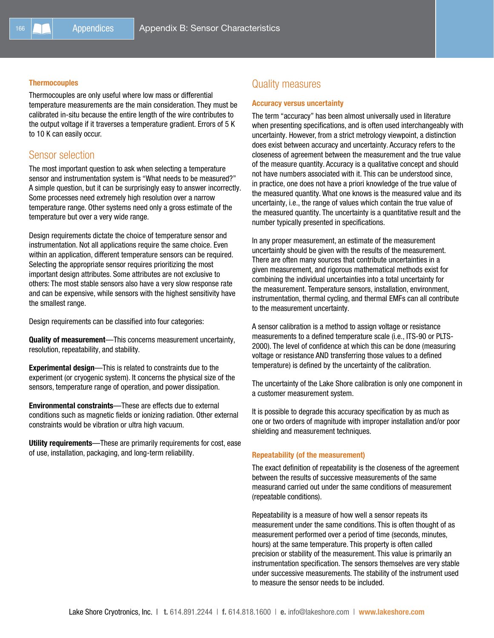#### **Thermocouples**

Thermocouples are only useful where low mass or differential temperature measurements are the main consideration. They must be calibrated in-situ because the entire length of the wire contributes to the output voltage if it traverses a temperature gradient. Errors of 5 K to 10 K can easily occur.

## Sensor selection

The most important question to ask when selecting a temperature sensor and instrumentation system is "What needs to be measured?" A simple question, but it can be surprisingly easy to answer incorrectly. Some processes need extremely high resolution over a narrow temperature range. Other systems need only a gross estimate of the temperature but over a very wide range.

Design requirements dictate the choice of temperature sensor and instrumentation. Not all applications require the same choice. Even within an application, different temperature sensors can be required. Selecting the appropriate sensor requires prioritizing the most important design attributes. Some attributes are not exclusive to others: The most stable sensors also have a very slow response rate and can be expensive, while sensors with the highest sensitivity have the smallest range.

Design requirements can be classified into four categories:

Quality of measurement—This concerns measurement uncertainty, resolution, repeatability, and stability.

Experimental design—This is related to constraints due to the experiment (or cryogenic system). It concerns the physical size of the sensors, temperature range of operation, and power dissipation.

Environmental constraints—These are effects due to external conditions such as magnetic fields or ionizing radiation. Other external constraints would be vibration or ultra high vacuum.

Utility requirements-These are primarily requirements for cost, ease of use, installation, packaging, and long-term reliability.

# Quality measures

#### Accuracy versus uncertainty

The term "accuracy" has been almost universally used in literature when presenting specifications, and is often used interchangeably with uncertainty. However, from a strict metrology viewpoint, a distinction does exist between accuracy and uncertainty. Accuracy refers to the closeness of agreement between the measurement and the true value of the measure quantity. Accuracy is a qualitative concept and should not have numbers associated with it. This can be understood since, in practice, one does not have a priori knowledge of the true value of the measured quantity. What one knows is the measured value and its uncertainty, i.e., the range of values which contain the true value of the measured quantity. The uncertainty is a quantitative result and the number typically presented in specifications.

In any proper measurement, an estimate of the measurement uncertainty should be given with the results of the measurement. There are often many sources that contribute uncertainties in a given measurement, and rigorous mathematical methods exist for combining the individual uncertainties into a total uncertainty for the measurement. Temperature sensors, installation, environment, instrumentation, thermal cycling, and thermal EMFs can all contribute to the measurement uncertainty.

A sensor calibration is a method to assign voltage or resistance measurements to a defined temperature scale (i.e., ITS-90 or PLTS-2000). The level of confidence at which this can be done (measuring voltage or resistance AND transferring those values to a defined temperature) is defined by the uncertainty of the calibration.

The uncertainty of the Lake Shore calibration is only one component in a customer measurement system.

It is possible to degrade this accuracy specification by as much as one or two orders of magnitude with improper installation and/or poor shielding and measurement techniques.

## Repeatability (of the measurement)

The exact definition of repeatability is the closeness of the agreement between the results of successive measurements of the same measurand carried out under the same conditions of measurement (repeatable conditions).

Repeatability is a measure of how well a sensor repeats its measurement under the same conditions. This is often thought of as measurement performed over a period of time (seconds, minutes, hours) at the same temperature. This property is often called precision or stability of the measurement. This value is primarily an instrumentation specification. The sensors themselves are very stable under successive measurements. The stability of the instrument used to measure the sensor needs to be included.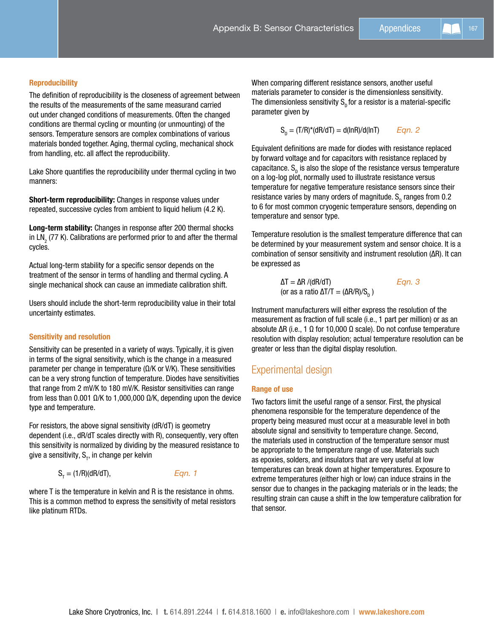## **Reproducibility**

The definition of reproducibility is the closeness of agreement between the results of the measurements of the same measurand carried out under changed conditions of measurements. Often the changed conditions are thermal cycling or mounting (or unmounting) of the sensors. Temperature sensors are complex combinations of various materials bonded together. Aging, thermal cycling, mechanical shock from handling, etc. all affect the reproducibility.

Lake Shore quantifies the reproducibility under thermal cycling in two manners:

Short-term reproducibility: Changes in response values under repeated, successive cycles from ambient to liquid helium (4.2 K).

Long-term stability: Changes in response after 200 thermal shocks in LN<sub>2</sub> (77 K). Calibrations are performed prior to and after the thermal cycles.

Actual long-term stability for a specific sensor depends on the treatment of the sensor in terms of handling and thermal cycling. A single mechanical shock can cause an immediate calibration shift.

Users should include the short-term reproducibility value in their total uncertainty estimates.

## Sensitivity and resolution

Sensitivity can be presented in a variety of ways. Typically, it is given in terms of the signal sensitivity, which is the change in a measured parameter per change in temperature (Ω/K or V/K). These sensitivities can be a very strong function of temperature. Diodes have sensitivities that range from 2 mV/K to 180 mV/K. Resistor sensitivities can range from less than 0.001 Ω/K to 1,000,000 Ω/K, depending upon the device type and temperature.

For resistors, the above signal sensitivity (dR/dT) is geometry dependent (i.e., dR/dT scales directly with R), consequently, very often this sensitivity is normalized by dividing by the measured resistance to give a sensitivity,  $\mathsf{S}_{_{\sf T}}$ , in change per kelvin

$$
S_{T} = (1/R)(dR/dT), \qquad \qquad Eqn. 1
$$

where T is the temperature in kelvin and R is the resistance in ohms. This is a common method to express the sensitivity of metal resistors like platinum RTDs.

When comparing different resistance sensors, another useful materials parameter to consider is the dimensionless sensitivity. The dimensionless sensitivity  $S_p$  for a resistor is a material-specific parameter given by

SD = (T/R)\*(dR/dT) = d(lnR)/d(lnT) *Eqn. 2*

Equivalent definitions are made for diodes with resistance replaced by forward voltage and for capacitors with resistance replaced by capacitance.  ${\tt S_p}$  is also the slope of the resistance versus temperature on a log-log plot, normally used to illustrate resistance versus temperature for negative temperature resistance sensors since their resistance varies by many orders of magnitude.  $\mathsf{S}_\mathsf{p}$  ranges from 0.2 to 6 for most common cryogenic temperature sensors, depending on temperature and sensor type.

Temperature resolution is the smallest temperature difference that can be determined by your measurement system and sensor choice. It is a combination of sensor sensitivity and instrument resolution (∆R). It can be expressed as

$$
\Delta T = \Delta R / (dR/dT) \qquad \qquad Eqn. 3
$$
  
(or as a ratio  $\Delta T/T = (\Delta R/R)/S_p$ )

Instrument manufacturers will either express the resolution of the measurement as fraction of full scale (i.e., 1 part per million) or as an absolute ∆R (i.e., 1 Ω for 10,000 Ω scale). Do not confuse temperature resolution with display resolution; actual temperature resolution can be greater or less than the digital display resolution.

# Experimental design

## Range of use

Two factors limit the useful range of a sensor. First, the physical phenomena responsible for the temperature dependence of the property being measured must occur at a measurable level in both absolute signal and sensitivity to temperature change. Second, the materials used in construction of the temperature sensor must be appropriate to the temperature range of use. Materials such as epoxies, solders, and insulators that are very useful at low temperatures can break down at higher temperatures. Exposure to extreme temperatures (either high or low) can induce strains in the sensor due to changes in the packaging materials or in the leads; the resulting strain can cause a shift in the low temperature calibration for that sensor.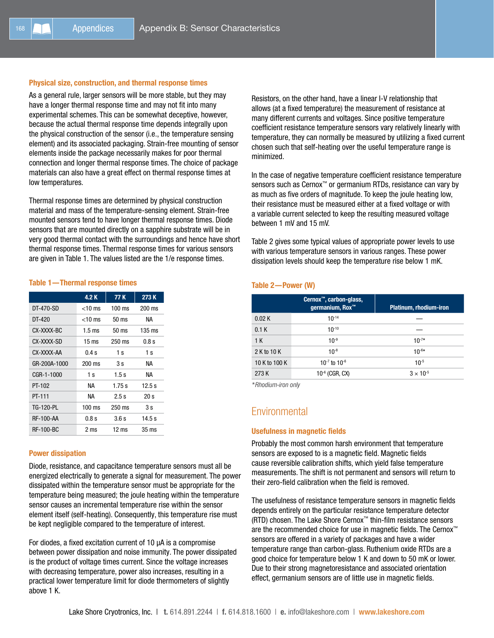## Physical size, construction, and thermal response times

As a general rule, larger sensors will be more stable, but they may have a longer thermal response time and may not fit into many experimental schemes. This can be somewhat deceptive, however, because the actual thermal response time depends integrally upon the physical construction of the sensor (i.e., the temperature sensing element) and its associated packaging. Strain-free mounting of sensor elements inside the package necessarily makes for poor thermal connection and longer thermal response times. The choice of package materials can also have a great effect on thermal response times at low temperatures.

Thermal response times are determined by physical construction material and mass of the temperature-sensing element. Strain-free mounted sensors tend to have longer thermal response times. Diode sensors that are mounted directly on a sapphire substrate will be in very good thermal contact with the surroundings and hence have short thermal response times. Thermal response times for various sensors are given in Table 1. The values listed are the 1/e response times.

## Table 1—Thermal response times

|                  | 4.2 K            | 77 K             | 273K             |
|------------------|------------------|------------------|------------------|
| DT-470-SD        | $<$ 10 ms        | $100 \text{ ms}$ | $200 \text{ ms}$ |
| DT-420           | $<$ 10 ms        | $50 \text{ ms}$  | NА               |
| CX-XXXX-BC       | $1.5 \text{ ms}$ | $50 \text{ ms}$  | 135 ms           |
| CX-XXXX-SD       | $15 \text{ ms}$  | $250$ ms         | 0.8 s            |
| CX-XXXX-AA       | 0.4 s            | 1 s              | 1 s              |
| GR-200A-1000     | $200$ ms         | 3 s              | ΝA               |
| CGR-1-1000       | 1 s              | 1.5s             | ΝA               |
| PT-102           | NА               | 1.75 s           | 12.5 s           |
| PT-111           | NА               | 2.5s             | 20 s             |
| TG-120-PL        | $100 \text{ ms}$ | $250$ ms         | 3 s              |
| <b>RF-100-AA</b> | 0.8 s            | 3.6 s            | 14.5 s           |
| <b>RF-100-BC</b> | 2 ms             | 12 ms            | 35 ms            |

## Power dissipation

Diode, resistance, and capacitance temperature sensors must all be energized electrically to generate a signal for measurement. The power dissipated within the temperature sensor must be appropriate for the temperature being measured; the joule heating within the temperature sensor causes an incremental temperature rise within the sensor element itself (self-heating). Consequently, this temperature rise must be kept negligible compared to the temperature of interest.

For diodes, a fixed excitation current of 10 µA is a compromise between power dissipation and noise immunity. The power dissipated is the product of voltage times current. Since the voltage increases with decreasing temperature, power also increases, resulting in a practical lower temperature limit for diode thermometers of slightly above 1 K.

Resistors, on the other hand, have a linear I-V relationship that allows (at a fixed temperature) the measurement of resistance at many different currents and voltages. Since positive temperature coefficient resistance temperature sensors vary relatively linearly with temperature, they can normally be measured by utilizing a fixed current chosen such that self-heating over the useful temperature range is minimized.

In the case of negative temperature coefficient resistance temperature sensors such as Cernox<sup>™</sup> or germanium RTDs, resistance can vary by as much as five orders of magnitude. To keep the joule heating low, their resistance must be measured either at a fixed voltage or with a variable current selected to keep the resulting measured voltage between 1 mV and 15 mV.

Table 2 gives some typical values of appropriate power levels to use with various temperature sensors in various ranges. These power dissipation levels should keep the temperature rise below 1 mK.

## Table 2—Power (W)

|               | Cernox <sup>™</sup> , carbon-glass,<br>germanium, Rox <sup>™</sup> | <b>Platinum, rhodium-iron</b> |
|---------------|--------------------------------------------------------------------|-------------------------------|
| 0.02K         | $10^{-14}$                                                         |                               |
| 0.1K          | $10^{-10}$                                                         |                               |
| 1K            | $10^{-9}$                                                          | $10^{-7*}$                    |
| 2 K to 10 K   | $10^{-8}$                                                          | $10^{-6*}$                    |
| 10 K to 100 K | $10^{-7}$ to $10^{-6}$                                             | $10^{-5}$                     |
| 273 K         | $10^{-6}$ (CGR, CX)                                                | $3 \times 10^{-5}$            |

*\*Rhodium-iron only*

# **Environmental**

#### Usefulness in magnetic fields

Probably the most common harsh environment that temperature sensors are exposed to is a magnetic field. Magnetic fields cause reversible calibration shifts, which yield false temperature measurements. The shift is not permanent and sensors will return to their zero-field calibration when the field is removed.

The usefulness of resistance temperature sensors in magnetic fields depends entirely on the particular resistance temperature detector (RTD) chosen. The Lake Shore Cernox™ thin-film resistance sensors are the recommended choice for use in magnetic fields. The Cernox™ sensors are offered in a variety of packages and have a wider temperature range than carbon-glass. Ruthenium oxide RTDs are a good choice for temperature below 1 K and down to 50 mK or lower. Due to their strong magnetoresistance and associated orientation effect, germanium sensors are of little use in magnetic fields.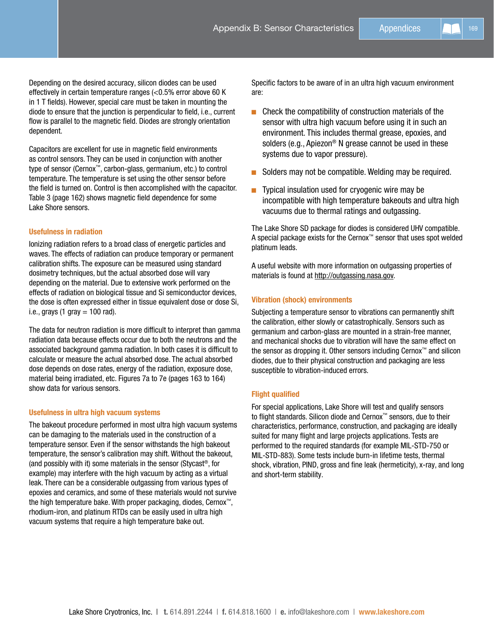Depending on the desired accuracy, silicon diodes can be used effectively in certain temperature ranges (<0.5% error above 60 K in 1 T fields). However, special care must be taken in mounting the diode to ensure that the junction is perpendicular to field, i.e., current flow is parallel to the magnetic field. Diodes are strongly orientation dependent.

Capacitors are excellent for use in magnetic field environments as control sensors. They can be used in conjunction with another type of sensor (Cernox™, carbon-glass, germanium, etc.) to control temperature. The temperature is set using the other sensor before the field is turned on. Control is then accomplished with the capacitor. Table 3 (page 162) shows magnetic field dependence for some Lake Shore sensors.

# Usefulness in radiation

Ionizing radiation refers to a broad class of energetic particles and waves. The effects of radiation can produce temporary or permanent calibration shifts. The exposure can be measured using standard dosimetry techniques, but the actual absorbed dose will vary depending on the material. Due to extensive work performed on the effects of radiation on biological tissue and Si semiconductor devices, the dose is often expressed either in tissue equivalent dose or dose Si, i.e., grays (1 gray  $= 100$  rad).

The data for neutron radiation is more difficult to interpret than gamma radiation data because effects occur due to both the neutrons and the associated background gamma radiation. In both cases it is difficult to calculate or measure the actual absorbed dose. The actual absorbed dose depends on dose rates, energy of the radiation, exposure dose, material being irradiated, etc. Figures 7a to 7e (pages 163 to 164) show data for various sensors.

# Usefulness in ultra high vacuum systems

The bakeout procedure performed in most ultra high vacuum systems can be damaging to the materials used in the construction of a temperature sensor. Even if the sensor withstands the high bakeout temperature, the sensor's calibration may shift. Without the bakeout, (and possibly with it) some materials in the sensor (Stycast®, for example) may interfere with the high vacuum by acting as a virtual leak. There can be a considerable outgassing from various types of epoxies and ceramics, and some of these materials would not survive the high temperature bake. With proper packaging, diodes, Cernox™, rhodium-iron, and platinum RTDs can be easily used in ultra high vacuum systems that require a high temperature bake out.

Specific factors to be aware of in an ultra high vacuum environment are:

- $\blacksquare$  Check the compatibility of construction materials of the sensor with ultra high vacuum before using it in such an environment. This includes thermal grease, epoxies, and solders (e.g., Apiezon® N grease cannot be used in these systems due to vapor pressure).
- Solders may not be compatible. Welding may be required.
- $\blacksquare$  Typical insulation used for cryogenic wire may be incompatible with high temperature bakeouts and ultra high vacuums due to thermal ratings and outgassing.

The Lake Shore SD package for diodes is considered UHV compatible. A special package exists for the Cernox™ sensor that uses spot welded platinum leads.

A useful website with more information on outgassing properties of materials is found at http://outgassing.nasa.gov.

# Vibration (shock) environments

Subjecting a temperature sensor to vibrations can permanently shift the calibration, either slowly or catastrophically. Sensors such as germanium and carbon-glass are mounted in a strain-free manner, and mechanical shocks due to vibration will have the same effect on the sensor as dropping it. Other sensors including Cernox™ and silicon diodes, due to their physical construction and packaging are less susceptible to vibration-induced errors.

# Flight qualified

For special applications, Lake Shore will test and qualify sensors to flight standards. Silicon diode and Cernox™ sensors, due to their characteristics, performance, construction, and packaging are ideally suited for many flight and large projects applications. Tests are performed to the required standards (for example MIL-STD-750 or MIL-STD-883). Some tests include burn-in lifetime tests, thermal shock, vibration, PIND, gross and fine leak (hermeticity), x-ray, and long and short-term stability.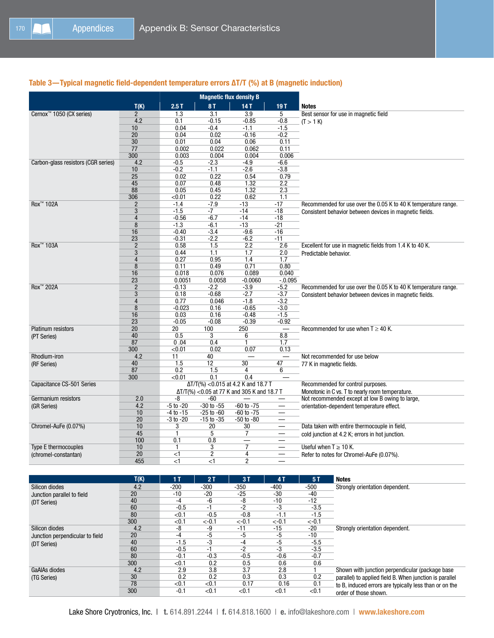# Table 3—Typical magnetic field-dependent temperature errors ∆T/T (%) at B (magnetic induction)

|                                      |                | <b>Magnetic flux density B</b>              |                |                                              |                          |                                                                |  |
|--------------------------------------|----------------|---------------------------------------------|----------------|----------------------------------------------|--------------------------|----------------------------------------------------------------|--|
|                                      | T(K)           | 2.5T                                        | <b>8T</b>      | <b>14 T</b>                                  | 19T                      | <b>Notes</b>                                                   |  |
| Cernox <sup>™</sup> 1050 (CX series) | $\overline{2}$ | 1.3                                         | 3.1            | 3.9                                          | 5                        | Best sensor for use in magnetic field                          |  |
|                                      | 4.2            | 0.1                                         | $-0.15$        | $-0.85$                                      | $-0.8$                   | (T > 1 K)                                                      |  |
|                                      | 10             | 0.04                                        | $-0.4$         | $-1.1$                                       | $-1.5$                   |                                                                |  |
|                                      | 20             | 0.04                                        | 0.02           | $-0.16$                                      | $-0.2$                   |                                                                |  |
|                                      | 30             | 0.01                                        | 0.04           | 0.06                                         | 0.11                     |                                                                |  |
|                                      | 77             | 0.002                                       | 0.022          | 0.062                                        | 0.11                     |                                                                |  |
|                                      | 300            | 0.003                                       | 0.004          | 0.004                                        | 0.006                    |                                                                |  |
| Carbon-glass resistors (CGR series)  | 4.2            | $-0.5$                                      | $-2.3$         | $-4.9$                                       | $-6.6$                   |                                                                |  |
|                                      | 10             | $-0.2$                                      | $-1.1$         | $-2.6$                                       | $-3.8$                   |                                                                |  |
|                                      | 25             | 0.02                                        | 0.22           | 0.54                                         | 0.79                     |                                                                |  |
|                                      | 45             | 0.07                                        | 0.48           | 1.32                                         | 2.2                      |                                                                |  |
|                                      | 88             | 0.05                                        | 0.45           | 1.32                                         | 2.3                      |                                                                |  |
|                                      | 306            | < 0.01                                      | 0.22           | 0.62                                         | 1.1                      |                                                                |  |
| Rox <sup>™</sup> 102A                | $\overline{2}$ | $-1.4$                                      | $-7.9$         | $-13$                                        | $-17$                    | Recommended for use over the 0.05 K to 40 K temperature range. |  |
|                                      | 3              | $-1.5$                                      | -7             | $-14$                                        | -18                      | Consistent behavior between devices in magnetic fields.        |  |
|                                      | $\overline{4}$ | $-0.56$                                     | $-6.7$         | $-14$                                        | $-18$                    |                                                                |  |
|                                      | 8              | $-1.3$                                      | $-6.1$         | $-13$                                        | $-21$                    |                                                                |  |
|                                      | 16             | $-0.40$                                     | $-3.4$         | $-9.6$                                       | $-16$                    |                                                                |  |
|                                      | 23             | $-0.31$                                     | $-2.2$         | $-6.2$                                       | $-11$                    |                                                                |  |
| Rox <sup>™</sup> 103A                | $\overline{2}$ | 0.58                                        | 1.5            | 2.2                                          | 2.6                      | Excellent for use in magnetic fields from 1.4 K to 40 K.       |  |
|                                      | 3              | 0.44                                        | 1.1            | 1.7                                          | 2.0                      | Predictable behavior.                                          |  |
|                                      | $\overline{4}$ | 0.27                                        | 0.95           | 1.4                                          | 1.7                      |                                                                |  |
|                                      | $\bf 8$        | 0.11                                        | 0.49           | 0.71                                         | 0.80                     |                                                                |  |
|                                      | 16             | 0.018                                       | 0.076          | 0.089                                        | 0.040                    |                                                                |  |
|                                      | 23             | 0.0051                                      | 0.0058         | $-0.0060$                                    | $-0.095$                 |                                                                |  |
| Rox <sup>™</sup> 202A                | $\overline{2}$ | $-0.13$                                     | $-2.2$         | $-3.9$                                       | $-5.2$                   | Recommended for use over the 0.05 K to 40 K temperature range. |  |
|                                      | 3              | 0.18                                        | $-0.68$        | $-2.7$                                       | $-3.7$                   | Consistent behavior between devices in magnetic fields.        |  |
|                                      | $\overline{4}$ | 0.77                                        | 0.046          | $-1.8$                                       | $-3.2$                   |                                                                |  |
|                                      | $\bf 8$        | $-0.023$                                    | 0.16           | $-0.65$                                      | $-3.0$                   |                                                                |  |
|                                      | 16             | 0.03                                        | 0.16           | $-0.48$                                      | $-1.5$                   |                                                                |  |
|                                      | 23             | $-0.05$                                     | $-0.08$        | $-0.39$                                      | $-0.92$                  |                                                                |  |
| Platinum resistors                   | 20             | $\overline{20}$                             | 100            | 250                                          |                          | Recommended for use when $T \geq 40$ K.                        |  |
| (PT Series)                          | 40             | 0.5                                         | 3              | 6                                            | 8.8                      |                                                                |  |
|                                      | 87             | 0.04                                        | 0.4            | 1                                            | 1.7                      |                                                                |  |
|                                      | 300            | < 0.01                                      | 0.02           | 0.07                                         | 0.13                     |                                                                |  |
| Rhodium-iron                         | 4.2            | 11                                          | 40             |                                              |                          | Not recommended for use below                                  |  |
| (RF Series)                          | 40             | 1.5                                         | 12             | 30                                           | 47                       | 77 K in magnetic fields.                                       |  |
|                                      | 87             | 0.2                                         | 1.5            | 4                                            | 6                        |                                                                |  |
|                                      | 300            | < 0.01                                      | 0.1            | 0.4                                          |                          |                                                                |  |
| Capacitance CS-501 Series            |                |                                             |                | $\Delta T/T$ (%) < 0.015 at 4.2 K and 18.7 T |                          | Recommended for control purposes.                              |  |
|                                      |                | ΔT/T(%) < 0.05 at 77 K and 305 K and 18.7 T |                |                                              |                          | Monotonic in C vs. T to nearly room temperature.               |  |
| Germanium resistors                  | 2.0            | -8                                          | $-60$          |                                              | $\overline{\phantom{m}}$ | Not recommended except at low B owing to large,                |  |
| (GR Series)                          | 4.2            | $-5$ to $-20$                               | $-30$ to $-55$ | $-60$ to $-75$                               |                          | orientation-dependent temperature effect.                      |  |
|                                      | 10             | $-4$ to $-15$                               | $-25$ to $-60$ | $-60$ to $-75$                               |                          |                                                                |  |
|                                      | 20             | $-3$ to $-20$                               | $-15$ to $-35$ | $-50$ to $-80$                               |                          |                                                                |  |
| Chromel-AuFe (0.07%)                 | 10             | 3                                           | 20             | 30                                           |                          | Data taken with entire thermocouple in field,                  |  |
|                                      | 45             | $\mathbf{1}$                                | 5              | $\overline{7}$                               | $\overline{\phantom{m}}$ | cold junction at 4.2 K; errors in hot junction.                |  |
|                                      | 100            | 0.1                                         | 0.8            |                                              |                          |                                                                |  |
| <b>Type E thermocouples</b>          | 10             | $\mathbf{1}$                                | 3              | $\overline{7}$                               |                          | Useful when $T \geq 10$ K.                                     |  |
| (chromel-constantan)                 | 20             | $<$ 1                                       | $\overline{2}$ | 4                                            |                          | Refer to notes for Chromel-AuFe (0.07%).                       |  |
|                                      | 455            | $<$ 1                                       | <1             | $\overline{c}$                               |                          |                                                                |  |

|                                                                          | T(K) | 1 T    | 2T       | 3T       | 4T       | 5T       | <b>Notes</b>                                                                                                      |
|--------------------------------------------------------------------------|------|--------|----------|----------|----------|----------|-------------------------------------------------------------------------------------------------------------------|
| Silicon diodes                                                           | 4.2  | $-200$ | $-300$   | -350     | $-400$   | $-500$   | Strongly orientation dependent.                                                                                   |
| 20<br>Junction parallel to field<br>40<br>(DT Series)<br>60<br>80<br>300 |      | $-10$  | $-20$    | -25      | $-30$    | $-40$    |                                                                                                                   |
|                                                                          |      | -4     | -6       | -8       | $-10$    | $-12$    |                                                                                                                   |
|                                                                          |      | $-0.5$ | -1       | $-2$     | -3       | $-3.5$   |                                                                                                                   |
|                                                                          |      | < 0.1  | $-0.5$   | $-0.8$   | -1.1     | $-1.5$   |                                                                                                                   |
|                                                                          |      | < 0.1  | $< -0.1$ | $< -0.1$ | $< -0.1$ | $< -0.1$ |                                                                                                                   |
| Silicon diodes                                                           | 4.2  | -8     | -9       | $-11$    | $-15$    | $-20$    | Strongly orientation dependent.                                                                                   |
| Junction perpendicular to field                                          | 20   | -4     | -5       | -5       | -5       | $-10$    |                                                                                                                   |
| (DT Series)                                                              | 40   | $-1.5$ | -3       | -4       | -5       | $-5.5$   |                                                                                                                   |
|                                                                          | 60   | $-0.5$ | -1       | $-2$     | -3       | $-3.5$   |                                                                                                                   |
|                                                                          | 80   | $-0.1$ | $-0.3$   | $-0.5$   | $-0.6$   | $-0.7$   |                                                                                                                   |
|                                                                          | 300  | < 0.1  | 0.2      | 0.5      | 0.6      | 0.6      |                                                                                                                   |
| GaAIAs diodes                                                            | 4.2  | 2.9    | 3.8      | 3.7      | 2.8      |          | Shown with junction perpendicular (package base)                                                                  |
| (TG Series)                                                              | 30   | 0.2    | 0.2      | 0.3      | 0.3      | 0.2      | parallel) to applied field B. When junction is parallel<br>to B, induced errors are typically less than or on the |
|                                                                          | 78   | < 0.1  | < 0.1    | 0.17     | 0.16     | 0.1      |                                                                                                                   |
|                                                                          | 300  | $-0.1$ | < 0.1    | < 0.1    | < 0.1    | < 0.1    | order of those shown.                                                                                             |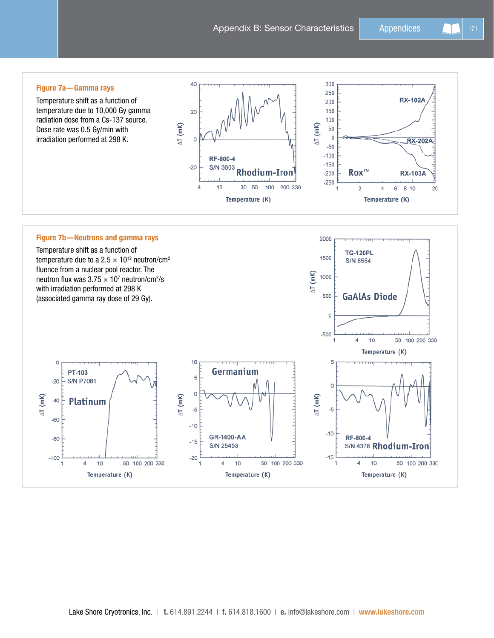# Figure 7a—Gamma rays

Temperature shift as a function of temperature due to 10,000 Gy gamma radiation dose from a Cs-137 source. Dose rate was 0.5 Gy/min with irradiation performed at 298 K.



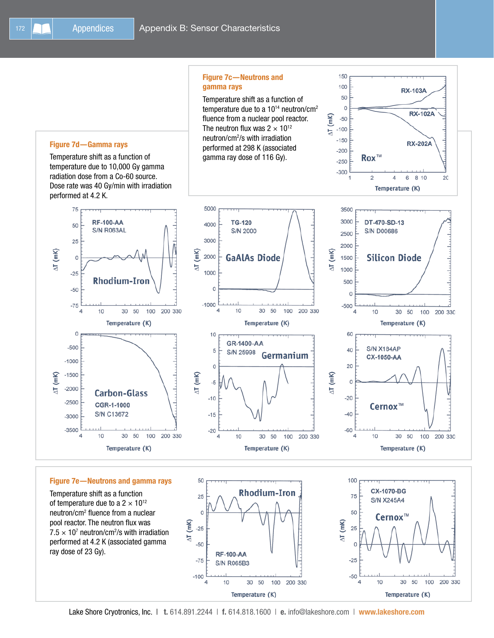





**RX-103A** 

**RX-102A** 

**RX-202A** 

## Figure 7e—Neutrons and gamma rays

10

 $\mathsf{O}\xspace$ 

 $-500$ 

 $-1000$ 

 $-1500$ 

 $-2000$ 

 $-2500$ 

 $-3000$  $-3500$ 

4

 $\Delta T$  (mK)

Temperature shift as a function of temperature due to a  $2 \times 10^{12}$ neutron/cm2 fluence from a nuclear pool reactor. The neutron flux was  $7.5 \times 10^7$  neutron/cm<sup>2</sup>/s with irradiation performed at 4.2 K (associated gamma ray dose of 23 Gy).



100

200 330



Temperature (K)